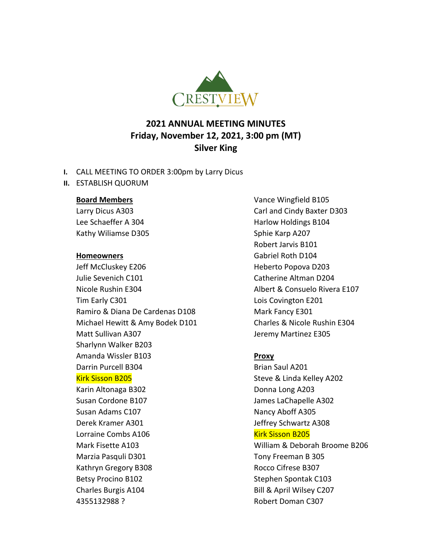

# **2021 ANNUAL MEETING MINUTES Friday, November 12, 2021, 3:00 pm (MT) Silver King**

- **I.** CALL MEETING TO ORDER 3:00pm by Larry Dicus
- **II.** ESTABLISH QUORUM

#### **Board Members**

Larry Dicus A303 Lee Schaeffer A 304 Kathy Wiliamse D305

#### **Homeowners**

Jeff McCluskey E206 Julie Sevenich C101 Nicole Rushin E304 Tim Early C301 Ramiro & Diana De Cardenas D108 Michael Hewitt & Amy Bodek D101 Matt Sullivan A307 Sharlynn Walker B203 Amanda Wissler B103 Darrin Purcell B304 Kirk Sisson B205 Karin Altonaga B302 Susan Cordone B107 Susan Adams C107 Derek Kramer A301 Lorraine Combs A106 Mark Fisette A103 Marzia Pasquli D301 Kathryn Gregory B308 Betsy Procino B102 Charles Burgis A104 4355132988 ?

Vance Wingfield B105 Carl and Cindy Baxter D303 Harlow Holdings B104 Sphie Karp A207 Robert Jarvis B101 Gabriel Roth D104 Heberto Popova D203 Catherine Altman D204 Albert & Consuelo Rivera E107 Lois Covington E201 Mark Fancy E301 Charles & Nicole Rushin E304 Jeremy Martinez E305

# **Proxy**

Brian Saul A201 Steve & Linda Kelley A202 Donna Long A203 James LaChapelle A302 Nancy Aboff A305 Jeffrey Schwartz A308 Kirk Sisson B205 William & Deborah Broome B206 Tony Freeman B 305 Rocco Cifrese B307 Stephen Spontak C103 Bill & April Wilsey C207 Robert Doman C307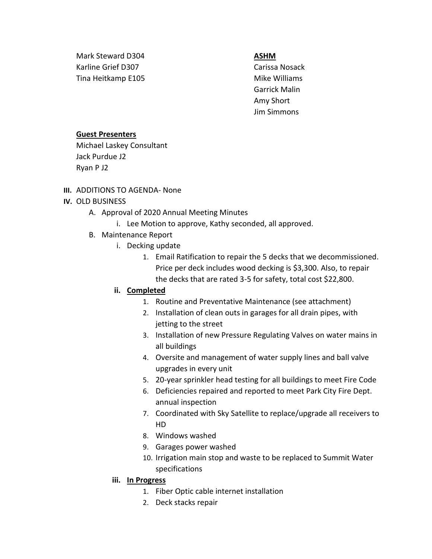Mark Steward D304 Karline Grief D307 Tina Heitkamp E105

#### **ASHM**

Carissa Nosack Mike Williams Garrick Malin Amy Short Jim Simmons

#### **Guest Presenters**

Michael Laskey Consultant Jack Purdue J2 Ryan P J2

**III.** ADDITIONS TO AGENDA- None

## **IV.** OLD BUSINESS

- A. Approval of 2020 Annual Meeting Minutes
	- i. Lee Motion to approve, Kathy seconded, all approved.
- B. Maintenance Report
	- i. Decking update
		- 1. Email Ratification to repair the 5 decks that we decommissioned. Price per deck includes wood decking is \$3,300. Also, to repair the decks that are rated 3-5 for safety, total cost \$22,800.

### **ii. Completed**

- 1. Routine and Preventative Maintenance (see attachment)
- 2. Installation of clean outs in garages for all drain pipes, with jetting to the street
- 3. Installation of new Pressure Regulating Valves on water mains in all buildings
- 4. Oversite and management of water supply lines and ball valve upgrades in every unit
- 5. 20-year sprinkler head testing for all buildings to meet Fire Code
- 6. Deficiencies repaired and reported to meet Park City Fire Dept. annual inspection
- 7. Coordinated with Sky Satellite to replace/upgrade all receivers to HD
- 8. Windows washed
- 9. Garages power washed
- 10. Irrigation main stop and waste to be replaced to Summit Water specifications

### **iii. In Progress**

- 1. Fiber Optic cable internet installation
- 2. Deck stacks repair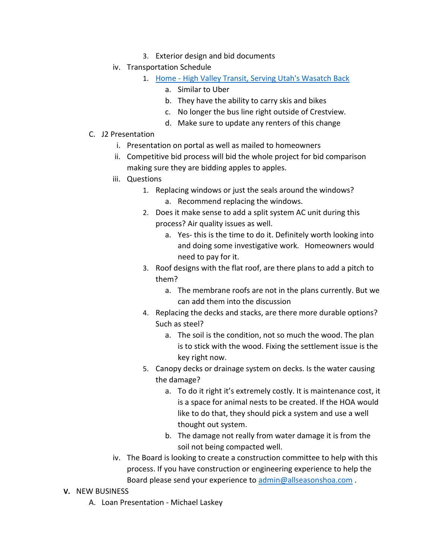- 3. Exterior design and bid documents
- iv. Transportation Schedule
	- 1. Home [High Valley Transit, Serving Utah's Wasatch Back](https://highvalleytransit.org/)
		- a. Similar to Uber
			- b. They have the ability to carry skis and bikes
			- c. No longer the bus line right outside of Crestview.
			- d. Make sure to update any renters of this change
- C. J2 Presentation
	- i. Presentation on portal as well as mailed to homeowners
	- ii. Competitive bid process will bid the whole project for bid comparison making sure they are bidding apples to apples.
	- iii. Questions
		- 1. Replacing windows or just the seals around the windows? a. Recommend replacing the windows.
		- 2. Does it make sense to add a split system AC unit during this process? Air quality issues as well.
			- a. Yes- this is the time to do it. Definitely worth looking into and doing some investigative work. Homeowners would need to pay for it.
		- 3. Roof designs with the flat roof, are there plans to add a pitch to them?
			- a. The membrane roofs are not in the plans currently. But we can add them into the discussion
		- 4. Replacing the decks and stacks, are there more durable options? Such as steel?
			- a. The soil is the condition, not so much the wood. The plan is to stick with the wood. Fixing the settlement issue is the key right now.
		- 5. Canopy decks or drainage system on decks. Is the water causing the damage?
			- a. To do it right it's extremely costly. It is maintenance cost, it is a space for animal nests to be created. If the HOA would like to do that, they should pick a system and use a well thought out system.
			- b. The damage not really from water damage it is from the soil not being compacted well.
	- iv. The Board is looking to create a construction committee to help with this process. If you have construction or engineering experience to help the Board please send your experience to [admin@allseasonshoa.com](mailto:admin@allseasonshoa.com) .

# **V.** NEW BUSINESS

A. Loan Presentation - Michael Laskey